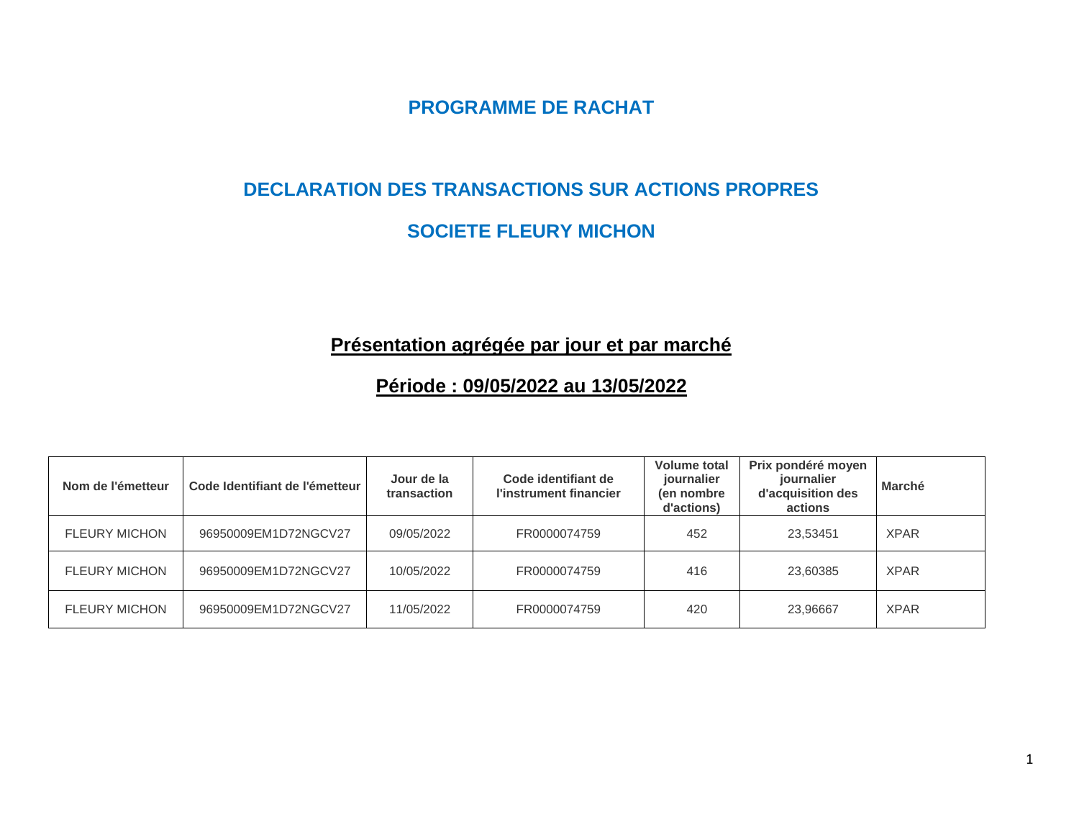**PROGRAMME DE RACHAT**

#### **DECLARATION DES TRANSACTIONS SUR ACTIONS PROPRES**

#### **SOCIETE FLEURY MICHON**

## **Présentation agrégée par jour et par marché**

## **Période : 09/05/2022 au 13/05/2022**

| Nom de l'émetteur    | Code Identifiant de l'émetteur | Jour de la<br>transaction | Code identifiant de<br>l'instrument financier | <b>Volume total</b><br>journalier<br>(en nombre<br>d'actions) | Prix pondéré moyen<br>journalier<br>d'acquisition des<br>actions | <b>Marché</b> |
|----------------------|--------------------------------|---------------------------|-----------------------------------------------|---------------------------------------------------------------|------------------------------------------------------------------|---------------|
| <b>FLEURY MICHON</b> | 96950009EM1D72NGCV27           | 09/05/2022                | FR0000074759                                  | 452                                                           | 23.53451                                                         | <b>XPAR</b>   |
| <b>FLEURY MICHON</b> | 96950009EM1D72NGCV27           | 10/05/2022                | FR0000074759                                  | 416                                                           | 23.60385                                                         | <b>XPAR</b>   |
| <b>FLEURY MICHON</b> | 96950009EM1D72NGCV27           | 11/05/2022                | FR0000074759                                  | 420                                                           | 23.96667                                                         | <b>XPAR</b>   |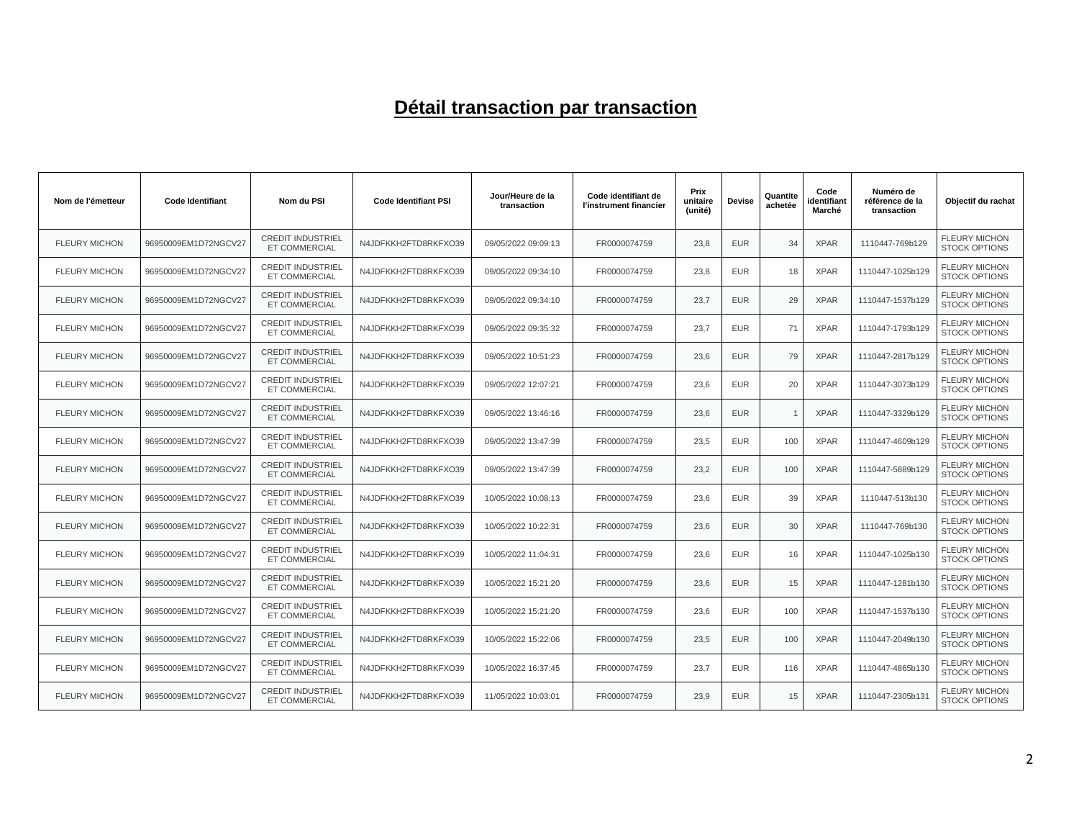# **Détail transaction par transaction**

| Nom de l'émetteur    | <b>Code Identifiant</b> | Nom du PSI                                       | <b>Code Identifiant PSI</b> | Jour/Heure de la<br>transaction | Code identifiant de<br>l'instrument financier | Prix<br>unitaire<br>(unité) | <b>Devise</b> | Quantite<br>achetée | Code<br>identifiant<br>Marché | Numéro de<br>référence de la<br>transaction | Objectif du rachat                           |
|----------------------|-------------------------|--------------------------------------------------|-----------------------------|---------------------------------|-----------------------------------------------|-----------------------------|---------------|---------------------|-------------------------------|---------------------------------------------|----------------------------------------------|
| <b>FLEURY MICHON</b> | 96950009EM1D72NGCV27    | <b>CREDIT INDUSTRIEL</b><br>ET COMMERCIAL        | N4JDFKKH2FTD8RKFXO39        | 09/05/2022 09:09:13             | FR0000074759                                  | 23.8                        | <b>EUR</b>    | 34                  | <b>XPAR</b>                   | 1110447-769b129                             | <b>FLEURY MICHON</b><br><b>STOCK OPTIONS</b> |
| <b>FLEURY MICHON</b> | 96950009EM1D72NGCV27    | <b>CREDIT INDUSTRIEL</b><br><b>ET COMMERCIAL</b> | N4JDFKKH2FTD8RKFXO39        | 09/05/2022 09:34:10             | FR0000074759                                  | 23,8                        | <b>EUR</b>    | 18                  | <b>XPAR</b>                   | 1110447-1025b129                            | <b>FLEURY MICHON</b><br><b>STOCK OPTIONS</b> |
| <b>FLEURY MICHON</b> | 96950009EM1D72NGCV27    | <b>CREDIT INDUSTRIEL</b><br><b>ET COMMERCIAL</b> | N4JDFKKH2FTD8RKFXO39        | 09/05/2022 09:34:10             | FR0000074759                                  | 23,7                        | <b>EUR</b>    | 29                  | <b>XPAR</b>                   | 1110447-1537b129                            | <b>FLEURY MICHON</b><br><b>STOCK OPTIONS</b> |
| <b>FLEURY MICHON</b> | 96950009EM1D72NGCV27    | <b>CREDIT INDUSTRIEL</b><br><b>ET COMMERCIAL</b> | N4JDFKKH2FTD8RKFXO39        | 09/05/2022 09:35:32             | FR0000074759                                  | 23,7                        | <b>EUR</b>    | 71                  | <b>XPAR</b>                   | 1110447-1793b129                            | <b>FLEURY MICHON</b><br><b>STOCK OPTIONS</b> |
| <b>FLEURY MICHON</b> | 96950009EM1D72NGCV27    | <b>CREDIT INDUSTRIEL</b><br><b>ET COMMERCIAL</b> | N4JDFKKH2FTD8RKFXO39        | 09/05/2022 10:51:23             | FR0000074759                                  | 23,6                        | <b>EUR</b>    | 79                  | <b>XPAR</b>                   | 1110447-2817b129                            | <b>FLEURY MICHON</b><br><b>STOCK OPTIONS</b> |
| <b>FLEURY MICHON</b> | 96950009EM1D72NGCV27    | <b>CREDIT INDUSTRIEL</b><br>ET COMMERCIAL        | N4JDFKKH2FTD8RKFXO39        | 09/05/2022 12:07:21             | FR0000074759                                  | 23,6                        | <b>EUR</b>    | 20                  | <b>XPAR</b>                   | 1110447-3073b129                            | <b>FLEURY MICHON</b><br><b>STOCK OPTIONS</b> |
| <b>FLEURY MICHON</b> | 96950009EM1D72NGCV27    | <b>CREDIT INDUSTRIEL</b><br><b>ET COMMERCIAL</b> | N4JDFKKH2FTD8RKFXO39        | 09/05/2022 13:46:16             | FR0000074759                                  | 23,6                        | <b>EUR</b>    | $\overline{1}$      | <b>XPAR</b>                   | 1110447-3329b129                            | <b>FLEURY MICHON</b><br><b>STOCK OPTIONS</b> |
| <b>FLEURY MICHON</b> | 96950009EM1D72NGCV27    | <b>CREDIT INDUSTRIEL</b><br>ET COMMERCIAL        | N4JDFKKH2FTD8RKFXO39        | 09/05/2022 13:47:39             | FR0000074759                                  | 23,5                        | <b>EUR</b>    | 100                 | <b>XPAR</b>                   | 1110447-4609b129                            | <b>FLEURY MICHON</b><br><b>STOCK OPTIONS</b> |
| <b>FLEURY MICHON</b> | 96950009EM1D72NGCV27    | <b>CREDIT INDUSTRIEL</b><br><b>ET COMMERCIAL</b> | N4JDFKKH2FTD8RKFXO39        | 09/05/2022 13:47:39             | FR0000074759                                  | 23,2                        | <b>EUR</b>    | 100                 | <b>XPAR</b>                   | 1110447-5889b129                            | <b>FLEURY MICHON</b><br><b>STOCK OPTIONS</b> |
| <b>FLEURY MICHON</b> | 96950009EM1D72NGCV27    | <b>CREDIT INDUSTRIEL</b><br><b>ET COMMERCIAL</b> | N4JDFKKH2FTD8RKFXO39        | 10/05/2022 10:08:13             | FR0000074759                                  | 23,6                        | <b>EUR</b>    | 39                  | <b>XPAR</b>                   | 1110447-513b130                             | <b>FLEURY MICHON</b><br><b>STOCK OPTIONS</b> |
| <b>FLEURY MICHON</b> | 96950009EM1D72NGCV27    | <b>CREDIT INDUSTRIEL</b><br><b>ET COMMERCIAL</b> | N4JDFKKH2FTD8RKFXO39        | 10/05/2022 10:22:31             | FR0000074759                                  | 23,6                        | <b>EUR</b>    | 30                  | <b>XPAR</b>                   | 1110447-769b130                             | <b>FLEURY MICHON</b><br><b>STOCK OPTIONS</b> |
| <b>FLEURY MICHON</b> | 96950009EM1D72NGCV27    | <b>CREDIT INDUSTRIEL</b><br>ET COMMERCIAL        | N4JDFKKH2FTD8RKFXO39        | 10/05/2022 11:04:31             | FR0000074759                                  | 23,6                        | <b>EUR</b>    | 16                  | <b>XPAR</b>                   | 1110447-1025b130                            | <b>FLEURY MICHON</b><br><b>STOCK OPTIONS</b> |
| <b>FLEURY MICHON</b> | 96950009EM1D72NGCV27    | <b>CREDIT INDUSTRIEL</b><br><b>ET COMMERCIAL</b> | N4JDFKKH2FTD8RKFXO39        | 10/05/2022 15:21:20             | FR0000074759                                  | 23,6                        | <b>EUR</b>    | 15                  | <b>XPAR</b>                   | 1110447-1281b130                            | <b>FLEURY MICHON</b><br><b>STOCK OPTIONS</b> |
| <b>FLEURY MICHON</b> | 96950009EM1D72NGCV27    | <b>CREDIT INDUSTRIEL</b><br><b>ET COMMERCIAL</b> | N4JDFKKH2FTD8RKFXO39        | 10/05/2022 15:21:20             | FR0000074759                                  | 23,6                        | <b>EUR</b>    | 100                 | <b>XPAR</b>                   | 1110447-1537b130                            | <b>FLEURY MICHON</b><br><b>STOCK OPTIONS</b> |
| <b>FLEURY MICHON</b> | 96950009EM1D72NGCV27    | <b>CREDIT INDUSTRIEL</b><br><b>ET COMMERCIAL</b> | N4JDFKKH2FTD8RKFXO39        | 10/05/2022 15:22:06             | FR0000074759                                  | 23,5                        | <b>EUR</b>    | 100                 | <b>XPAR</b>                   | 1110447-2049b130                            | <b>FLEURY MICHON</b><br><b>STOCK OPTIONS</b> |
| <b>FLEURY MICHON</b> | 96950009EM1D72NGCV27    | <b>CREDIT INDUSTRIEL</b><br>ET COMMERCIAL        | N4JDFKKH2FTD8RKFXO39        | 10/05/2022 16:37:45             | FR0000074759                                  | 23,7                        | <b>EUR</b>    | 116                 | <b>XPAR</b>                   | 1110447-4865b130                            | <b>FLEURY MICHON</b><br><b>STOCK OPTIONS</b> |
| <b>FLEURY MICHON</b> | 96950009EM1D72NGCV27    | <b>CREDIT INDUSTRIEL</b><br><b>ET COMMERCIAL</b> | N4JDFKKH2FTD8RKFXO39        | 11/05/2022 10:03:01             | FR0000074759                                  | 23.9                        | <b>EUR</b>    | 15                  | <b>XPAR</b>                   | 1110447-2305b131                            | <b>FLEURY MICHON</b><br><b>STOCK OPTIONS</b> |